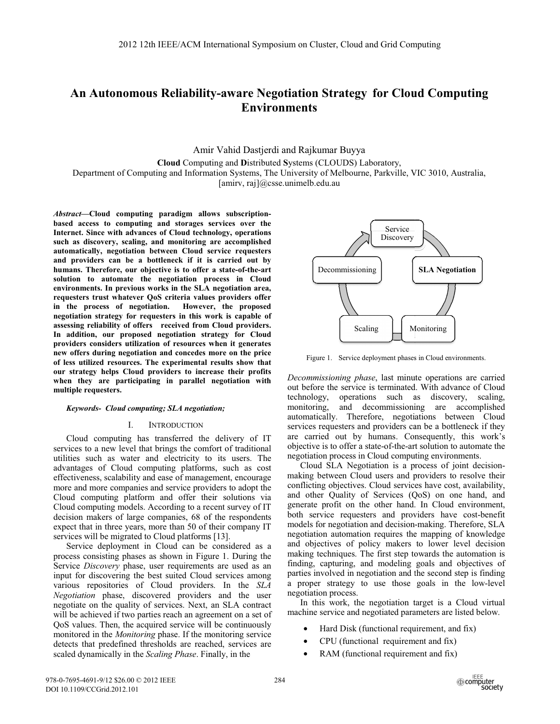# An Autonomous Reliability-aware Negotiation Strategy for Cloud Computing **Environments**

Ami ir Vahid Dastjerdi and Rajkumar Buyya

**Cloud** Comput ting and **D**istributed **S**ystems (CLOUDS) Laboratory,

Department of Computing and Information Systems, The University of Melbourne, Parkville, VIC 3010, Australia, [amirv, raj]@csse.unimelb.edu.au

Abstract–Cloud computing paradigm allows subscription**based access to computing and storages s services over the**  Internet. Since with advances of Cloud technology, operations **such as discovery, scaling, and monitoring are accomplished automatically, negotiation between Cloud s service requesters and providers can be a bottleneck if it is s carried out by humans. Therefore, our objective is to offer a state-of-the-art solution to automate the negotiation pr rocess in Cloud environments. In previous works in the SLA negotiation area, requesters trust whatever QoS criteria value es providers offer in the process of negotiation. Howeve r, the proposed negotiation strategy for requesters in this w work is capable of assessing reliability of offers received from Cloud providers.**  In addition, our proposed negotiation strategy for Cloud **providers considers utilization of resources w when it generates new offers during negotiation and concedes m more on the price of less utilized resources. The experimental results show that our strategy helps Cloud providers to increase their profits when they are participating in parallel negotiation with multiple requesters.** 

#### *Keywords- Cloud computing; SLA negotiat tion;*

## I. INTRODUCTION

Cloud computing has transferred the delivery of IT services to a new level that brings the comfort of traditional utilities such as water and electricity to o its users. The advantages of Cloud computing platforms, such as cost effectiveness, scalability and ease of management, encourage more and more companies and service providers to adopt the Cloud computing platform and offer the eir solutions via Cloud computing models. According to a re cent survey of IT decision makers of large companies, 68 of the respondents expect that in three years, more than 50 of their company IT services will be migrated to Cloud platforms [13].

Service deployment in Cloud can be considered as a process consisting phases as shown in Figure 1. During the Service *Discovery* phase, user requirements are used as an input for discovering the best suited Cloud services among various repositories of Cloud providers. In the SLA *Negotiation* phase, discovered providers s and the user negotiate on the quality of services. Next, an SLA contract will be achieved if two parties reach an agreement on a set of QoS values. Then, the acquired service will be continuously monitored in the *Monitoring* phase. If the m monitoring service detects that predefined thresholds are reached, services are scaled dynamically in the *Scaling Phase*. Finally, in the



Figure 1. Service deployment phases in Cloud environments.

Decommissioning phase, last minute operations are carried out before the service is terminated. With advance of Cloud technology, operations such a as discovery, scaling, monitoring, and decommissioning are accomplished automatically. Therefore, negoti ations between Cloud services requesters and providers can be a bottleneck if they are carried out by humans. Consequently, this work's objective is to offer a state-of-the-art solution to automate the negotiation process in Cloud computing environments.

Cloud SLA Negotiation is a p rocess of joint decisionmaking between Cloud users and p providers to resolve their conflicting objectives. Cloud servic es have cost, availability, and other Quality of Services (Q QoS) on one hand, and generate profit on the other hand. . In Cloud environment, both service requesters and providers have cost-benefit models for negotiation and decision -making. Therefore, SLA negotiation automation requires the mapping of knowledge and objectives of policy makers to lower level decision making techniques. The first step towards the automation is finding, capturing, and modeling goals and objectives of parties involved in negotiation and the second step is finding a proper strategy to use those goals in the low-level negotiation process.

In this work, the negotiation target is a Cloud virtual machine service and negotiated parameters are listed below.

- Hard Disk (functional requirement, and fix)
- CPU (functional requirement and fix)
- RAM (functional requirement and fix)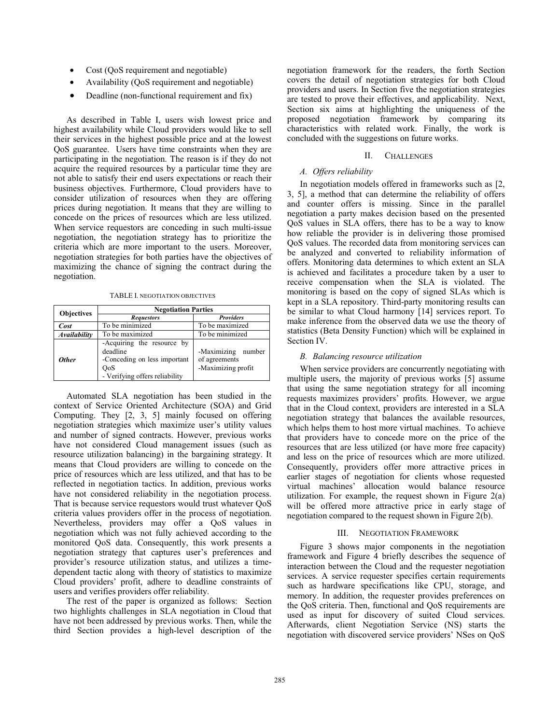- Cost (QoS requirement and negotiable)
- Availability (QoS requirement and negotiable)
- Deadline (non-functional requirement and fix)

As described in Table I, users wish lowest price and highest availability while Cloud providers would like to sell their services in the highest possible price and at the lowest QoS guarantee. Users have time constraints when they are participating in the negotiation. The reason is if they do not acquire the required resources by a particular time they are not able to satisfy their end users expectations or reach their business objectives. Furthermore, Cloud providers have to consider utilization of resources when they are offering prices during negotiation. It means that they are willing to concede on the prices of resources which are less utilized. When service requestors are conceding in such multi-issue negotiation, the negotiation strategy has to prioritize the criteria which are more important to the users. Moreover, negotiation strategies for both parties have the objectives of maximizing the chance of signing the contract during the negotiation.

TABLE I. NEGOTIATION OBJECTIVES

| <b>Objectives</b>   | <b>Negotiation Parties</b>                                                                                      |                                                           |  |
|---------------------|-----------------------------------------------------------------------------------------------------------------|-----------------------------------------------------------|--|
|                     | <b>Requestors</b>                                                                                               | <b>Providers</b>                                          |  |
| Cost                | To be minimized                                                                                                 | To be maximized                                           |  |
| Availability        | To be maximized                                                                                                 | To be minimized                                           |  |
| <i><b>Other</b></i> | -Acquiring the resource by<br>deadline<br>-Conceding on less important<br>OoS<br>- Verifying offers reliability | -Maximizing number<br>of agreements<br>-Maximizing profit |  |

Automated SLA negotiation has been studied in the context of Service Oriented Architecture (SOA) and Grid Computing. They [2, 3, 5] mainly focused on offering negotiation strategies which maximize user's utility values and number of signed contracts. However, previous works have not considered Cloud management issues (such as resource utilization balancing) in the bargaining strategy. It means that Cloud providers are willing to concede on the price of resources which are less utilized, and that has to be reflected in negotiation tactics. In addition, previous works have not considered reliability in the negotiation process. That is because service requestors would trust whatever QoS criteria values providers offer in the process of negotiation. Nevertheless, providers may offer a QoS values in negotiation which was not fully achieved according to the monitored QoS data. Consequently, this work presents a negotiation strategy that captures user's preferences and provider's resource utilization status, and utilizes a timedependent tactic along with theory of statistics to maximize Cloud providers' profit, adhere to deadline constraints of users and verifies providers offer reliability.

The rest of the paper is organized as follows: Section two highlights challenges in SLA negotiation in Cloud that have not been addressed by previous works. Then, while the third Section provides a high-level description of the

negotiation framework for the readers, the forth Section covers the detail of negotiation strategies for both Cloud providers and users. In Section five the negotiation strategies are tested to prove their effectives, and applicability. Next, Section six aims at highlighting the uniqueness of the proposed negotiation framework by comparing its characteristics with related work. Finally, the work is concluded with the suggestions on future works.

# II. CHALLENGES

# *A. Offers reliability*

In negotiation models offered in frameworks such as [2, 3, 5], a method that can determine the reliability of offers and counter offers is missing. Since in the parallel negotiation a party makes decision based on the presented QoS values in SLA offers, there has to be a way to know how reliable the provider is in delivering those promised QoS values. The recorded data from monitoring services can be analyzed and converted to reliability information of offers. Monitoring data determines to which extent an SLA is achieved and facilitates a procedure taken by a user to receive compensation when the SLA is violated. The monitoring is based on the copy of signed SLAs which is kept in a SLA repository. Third-party monitoring results can be similar to what Cloud harmony [14] services report. To make inference from the observed data we use the theory of statistics (Beta Density Function) which will be explained in Section IV.

#### *B. Balancing resource utilization*

When service providers are concurrently negotiating with multiple users, the majority of previous works [5] assume that using the same negotiation strategy for all incoming requests maximizes providers' profits. However, we argue that in the Cloud context, providers are interested in a SLA negotiation strategy that balances the available resources, which helps them to host more virtual machines. To achieve that providers have to concede more on the price of the resources that are less utilized (or have more free capacity) and less on the price of resources which are more utilized. Consequently, providers offer more attractive prices in earlier stages of negotiation for clients whose requested virtual machines' allocation would balance resource utilization. For example, the request shown in Figure 2(a) will be offered more attractive price in early stage of negotiation compared to the request shown in Figure 2(b).

#### III. NEGOTIATION FRAMEWORK

Figure 3 shows major components in the negotiation framework and Figure 4 briefly describes the sequence of interaction between the Cloud and the requester negotiation services. A service requester specifies certain requirements such as hardware specifications like CPU, storage, and memory. In addition, the requester provides preferences on the QoS criteria. Then, functional and QoS requirements are used as input for discovery of suited Cloud services. Afterwards, client Negotiation Service (NS) starts the negotiation with discovered service providers' NSes on QoS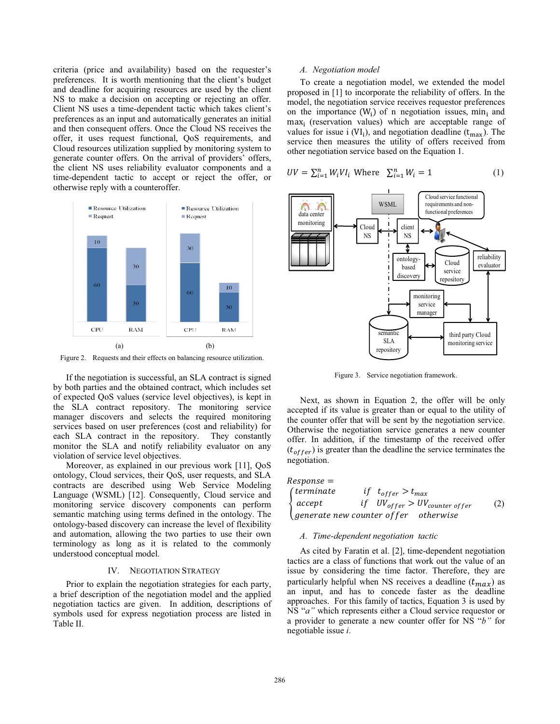criteria (price and availability) based on n the requester's preferences. It is worth mentioning that th he client's budget and deadline for acquiring resources are u sed by the client NS to make a decision on accepting or rejecting an offer. Client NS uses a time-dependent tactic wh ich takes client's preferences as an input and automatically generates an initial and then consequent offers. Once the Cloud d NS receives the offer, it uses request functional, QoS requirements, and Cloud resources utilization supplied by mon nitoring system to generate counter offers. On the arrival of p providers' offers, the client NS uses reliability evaluator components and a time-dependent tactic to accept or reject the offer, or otherwise reply with a counteroffer.



Figure 2. Requests and their effects on balancing resource utilization.

If the negotiation is successful, an SLA contract is signed by both parties and the obtained contract, which includes set of expected QoS values (service level objectives), is kept in the SLA contract repository. The monitoring service manager discovers and selects the required monitoring services based on user preferences (cost and reliability) for each SLA contract in the repository. monitor the SLA and notify reliability evaluator on any violation of service level objectives. They constantly

Moreover, as explained in our previous work [11], QoS ontology, Cloud services, their QoS, user requests, and SLA contracts are described using Web Service Modeling Language (WSML) [12]. Consequently, C loud service and monitoring service discovery components can perform semantic matching using terms defined in the ontology. The ontology-based discovery can increase the level of flexibility and automation, allowing the two parties to use their own terminology as long as it is related to the commonly understood conceptual model.

### IV. NEGOTIATION STRATEGY

Prior to explain the negotiation strategies for each party, a brief description of the negotiation mode l and the applied negotiation tactics are given. In addition, descriptions of symbols used for express negotiation process are listed in Table II.

#### *A. Negotiation model*

To create a negotiation model, we extended the model proposed in [1] to incorporate the reliability of offers. In the model, the negotiation service receives requestor preferences on the importance  $(W_i)$  of n negotiation issues, min<sub>i</sub> and  $max_i$  (reservation values) which are acceptable range of values for issue i  $(VI_i)$ , and negotiation deadline  $(t_{max})$ . The service then measures the utility of offers received from other negotiation service based on th he Equation 1.

$$
UV = \sum_{i=1}^{n} W_i V I_i
$$
 Where 
$$
\sum_{i=1}^{n} W_i = 1
$$
 (1)



Figure 3. Service negotiation framework.

Next, as shown in Equation 2 , the offer will be only accepted if its value is greater than or equal to the utility of the counter offer that will be sent b y the negotiation service. Otherwise the negotiation service generates a new counter offer. In addition, if the timestamp of the received offer  $(t_{offer})$  is greater than the deadline the service terminates the negotiation.

| Response =    |                                              |     |
|---------------|----------------------------------------------|-----|
| $($ terminate | if $t_{offer} > t_{max}$                     |     |
| $\{ accept$   | if $UV_{offer} > UV_{counter\,offer}$        | (2) |
|               | $\int$ generate new counter of fer otherwise |     |

### *A. Time-dependent negotiation tactic*

As cited by Faratin et al. [2], time-dependent negotiation tactics are a class of functions that work out the value of an issue by considering the time factor. Therefore, they are particularly helpful when NS receives a deadline  $(t_{max})$  as an input, and has to concede faster as the deadline approaches. For this family of tactics, Equation 3 is used by NS "*a*" which represents either a Cloud service requestor or a provider to generate a new counter offer for NS "b" for negotiable issue *i*.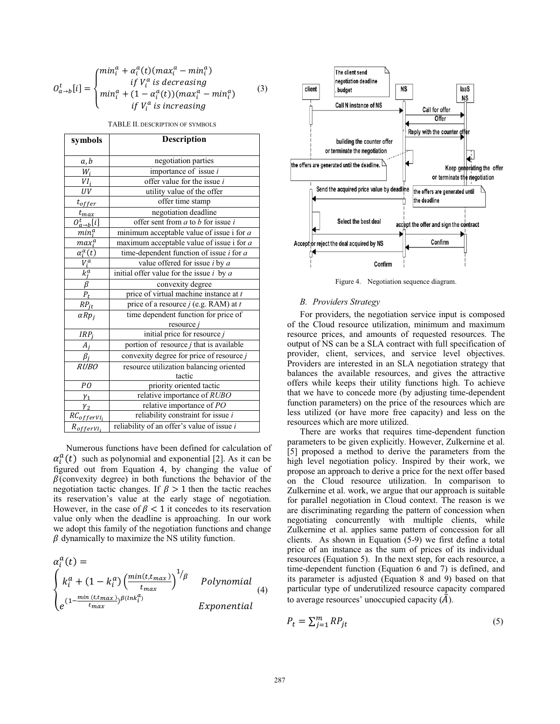$$
O_{a\to b}^t[i] = \begin{cases} \min_i^a + \alpha_i^a(t) (\max_i^a - \min_i^a) \\ \quad \text{if } V_i^a \text{ is decreasing} \\ \min_i^a + (1 - \alpha_i^a(t)) (\max_i^a - \min_i^a) \\ \quad \text{if } V_i^a \text{ is increasing} \end{cases} \tag{3}
$$

TABLE II. DESCRIPTION OF SYMBOLS

| symbols                    | <b>Description</b>                           |  |
|----------------------------|----------------------------------------------|--|
| a, b                       | negotiation parties                          |  |
| $W_i$                      | importance of issue i                        |  |
| $VI_i$                     | offer value for the issue $i$                |  |
| UV                         | utility value of the offer                   |  |
| $t_{offer}$                | offer time stamp                             |  |
| $t_{max}$                  | negotiation deadline                         |  |
| $0^t_{a\rightarrow b}[i]$  | offer sent from $a$ to $b$ for issue $i$     |  |
| $min_i^a$                  | minimum acceptable value of issue i for $a$  |  |
| $max_i^a$                  | maximum acceptable value of issue i for a    |  |
| $\overline{\alpha}_i^a(t)$ | time-dependent function of issue $i$ for $a$ |  |
| $V_i^a$                    | value offered for issue i by a               |  |
| $k_j^a$                    | initial offer value for the issue $i$ by $a$ |  |
| $\frac{\beta}{P_t}$        | convexity degree                             |  |
|                            | price of virtual machine instance at t       |  |
| $RP_{jt}$                  | price of a resource $j$ (e.g. RAM) at $t$    |  |
| $\alpha R p_i$             | time dependent function for price of         |  |
|                            | resource j                                   |  |
| $IRP_i$                    | initial price for resource $j$               |  |
| $A_i$                      | portion of $resourcej$ that is available     |  |
| $\beta_i$                  | convexity degree for price of resource $j$   |  |
| <b>RUBO</b>                | resource utilization balancing oriented      |  |
|                            | tactic                                       |  |
| PO                         | priority oriented tactic                     |  |
| $\gamma_1$                 | relative importance of RUBO                  |  |
| $\gamma_2$                 | relative importance of PO                    |  |
| $RC_{offerVI_i}$           | reliability constraint for issue $i$         |  |
| $R_{offerVI_i}$            | reliability of an offer's value of issue $i$ |  |

Numerous functions have been defined for calculation of  $\alpha_i^a(t)$  such as polynomial and exponential [2]. As it can be figured out from Equation 4, by changing the value of  $\beta$ (convexity degree) in both functions the behavior of the negotiation tactic changes. If  $\beta > 1$  then the tactic reaches its reservation's value at the early stage of negotiation. However, in the case of  $\beta$  < 1 it concedes to its reservation value only when the deadline is approaching. In our work we adopt this family of the negotiation functions and change  $\beta$  dynamically to maximize the NS utility function.

$$
\alpha_i^a(t) =
$$
\n
$$
\begin{cases}\n k_i^a + (1 - k_i^a) \left( \frac{\min(t, t_{max})}{t_{max}} \right)^{1/\beta} & \text{Polynomial} \\
 e^{(1 - \frac{\min(t, t_{max})}{t_{max})} \beta(\ln k_i^a)} & \text{Exponential}\n\end{cases}
$$
\n(4)



Figure 4. Negotiation sequence diagram.

# *B. Providers Strategy*

For providers, the negotiation service input is composed of the Cloud resource utilization, minimum and maximum resource prices, and amounts of requested resources. The output of NS can be a SLA contract with full specification of provider, client, services, and service level objectives. Providers are interested in an SLA negotiation strategy that balances the available resources, and gives the attractive offers while keeps their utility functions high. To achieve that we have to concede more (by adjusting time-dependent function parameters) on the price of the resources which are less utilized (or have more free capacity) and less on the resources which are more utilized.

There are works that requires time-dependent function parameters to be given explicitly. However, Zulkernine et al. [5] proposed a method to derive the parameters from the high level negotiation policy. Inspired by their work, we propose an approach to derive a price for the next offer based on the Cloud resource utilization. In comparison to Zulkernine et al. work, we argue that our approach is suitable for parallel negotiation in Cloud context. The reason is we are discriminating regarding the pattern of concession when negotiating concurrently with multiple clients, while Zulkernine et al. applies same pattern of concession for all clients. As shown in Equation (5-9) we first define a total price of an instance as the sum of prices of its individual resources (Equation 5). In the next step, for each resource, a time-dependent function (Equation 6 and 7) is defined, and its parameter is adjusted (Equation 8 and 9) based on that particular type of underutilized resource capacity compared to average resources' unoccupied capacity  $(\overline{A})$ .

$$
P_t = \sum_{j=1}^{m} R P_{jt} \tag{5}
$$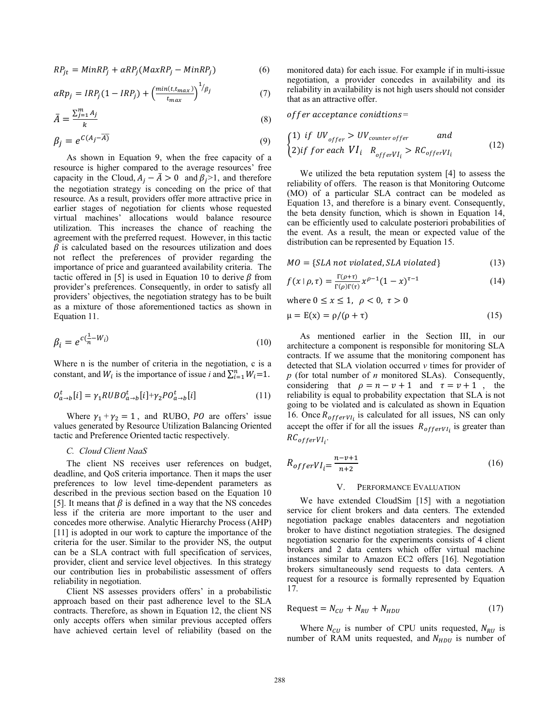$$
RP_{jt} = MinRP_j + \alpha RP_j (MaxRP_j - MinRP_j)
$$
 (6)

$$
\alpha R p_j = I R P_j (1 - I R P_j) + \left(\frac{\min(t, t_{max})}{t_{max}}\right)^{1/\beta_j}
$$
(7)

$$
\bar{A} = \frac{\sum_{j=1}^{m} A_j}{k} \tag{8}
$$

$$
\beta_j = e^{C(A_j - \overline{A})} \tag{9}
$$

As shown in Equation 9, when the free capacity of a resource is higher compared to the average resources' free capacity in the Cloud,  $A_j - A > 0$  and  $\beta_j > 1$ , and therefore the negotiation strategy is conceding on the price of that resource. As a result, providers offer more attractive price in earlier stages of negotiation for clients whose requested virtual machines' allocations would balance resource utilization. This increases the chance of reaching the agreement with the preferred request. However, in this tactic  $\beta$  is calculated based on the resources utilization and does not reflect the preferences of provider regarding the importance of price and guaranteed availability criteria. The tactic offered in [5] is used in Equation 10 to derive  $\beta$  from provider's preferences. Consequently, in order to satisfy all providers' objectives, the negotiation strategy has to be built as a mixture of those aforementioned tactics as shown in Equation 11.

$$
\beta_i = e^{c(\frac{1}{n} - W_i)}
$$
\n(10)

Where n is the number of criteria in the negotiation, c is a constant, and  $W_i$  is the importance of issue *i* and  $\sum_{i=1}^{n} W_i = 1$ .

$$
O_{a \to b}^t[i] = \gamma_1 R U B O_{a \to b}^t[i] + \gamma_2 P O_{a \to b}^t[i]
$$
\n
$$
(11)
$$

Where  $\gamma_1 + \gamma_2 = 1$ , and RUBO, PO are offers' issue values generated by Resource Utilization Balancing Oriented tactic and Preference Oriented tactic respectively.

## *C. Cloud Client NaaS*

The client NS receives user references on budget, deadline, and QoS criteria importance. Then it maps the user preferences to low level time-dependent parameters as described in the previous section based on the Equation 10 [5]. It means that  $\beta$  is defined in a way that the NS concedes less if the criteria are more important to the user and concedes more otherwise. Analytic Hierarchy Process (AHP) [11] is adopted in our work to capture the importance of the criteria for the user. Similar to the provider NS, the output can be a SLA contract with full specification of services, provider, client and service level objectives. In this strategy our contribution lies in probabilistic assessment of offers reliability in negotiation.

Client NS assesses providers offers' in a probabilistic approach based on their past adherence level to the SLA contracts. Therefore, as shown in Equation 12, the client NS only accepts offers when similar previous accepted offers have achieved certain level of reliability (based on the monitored data) for each issue. For example if in multi-issue negotiation, a provider concedes in availability and its reliability in availability is not high users should not consider that as an attractive offer.

 $of fer$  acceptance conidtions=

$$
\begin{cases}\n1) \text{ if } UV_{offer} > UV_{counter\,offer} \quad \text{ and} \\
2) \text{ if for each } VI_i \quad R_{offerVI_i} > RC_{offerVI_i}\n\end{cases} \tag{12}
$$

We utilized the beta reputation system [4] to assess the reliability of offers. The reason is that Monitoring Outcome (MO) of a particular SLA contract can be modeled as Equation 13, and therefore is a binary event. Consequently, the beta density function, which is shown in Equation 14, can be efficiently used to calculate posteriori probabilities of the event. As a result, the mean or expected value of the distribution can be represented by Equation 15.

$$
MO = \{SLA \text{ not violated}, SLA \text{ violated}\} \tag{13}
$$

$$
f(x \mid \rho, \tau) = \frac{\Gamma(\rho + \tau)}{\Gamma(\rho)\Gamma(\tau)} x^{\rho - 1} (1 - x)^{\tau - 1}
$$
\n(14)

where  $0 \le x \le 1$ ,  $\rho < 0$ ,  $\tau > 0$ 

$$
\mu = E(x) = \rho/(\rho + \tau) \tag{15}
$$

As mentioned earlier in the Section III, in our architecture a component is responsible for monitoring SLA contracts. If we assume that the monitoring component has detected that SLA violation occurred *v* times for provider of *p* (for total number of *n* monitored SLAs). Consequently, considering that  $\rho = n - \nu + 1$  and  $\tau = \nu + 1$ , the reliability is equal to probability expectation that SLA is not going to be violated and is calculated as shown in Equation 16. Once  $R_{offervI_i}$  is calculated for all issues, NS can only accept the offer if for all the issues  $R_{offervI_i}$  is greater than  $RC_{offerVI_i}$ .

$$
R_{offerVI_i} = \frac{n - \nu + 1}{n + 2} \tag{16}
$$

## V. PERFORMANCE EVALUATION

We have extended CloudSim [15] with a negotiation service for client brokers and data centers. The extended negotiation package enables datacenters and negotiation broker to have distinct negotiation strategies. The designed negotiation scenario for the experiments consists of 4 client brokers and 2 data centers which offer virtual machine instances similar to Amazon EC2 offers [16]. Negotiation brokers simultaneously send requests to data centers. A request for a resource is formally represented by Equation 17.

$$
Request = N_{CU} + N_{RU} + N_{HDU}
$$
 (17)

Where  $N_{CU}$  is number of CPU units requested,  $N_{RU}$  is number of RAM units requested, and  $N_{HDU}$  is number of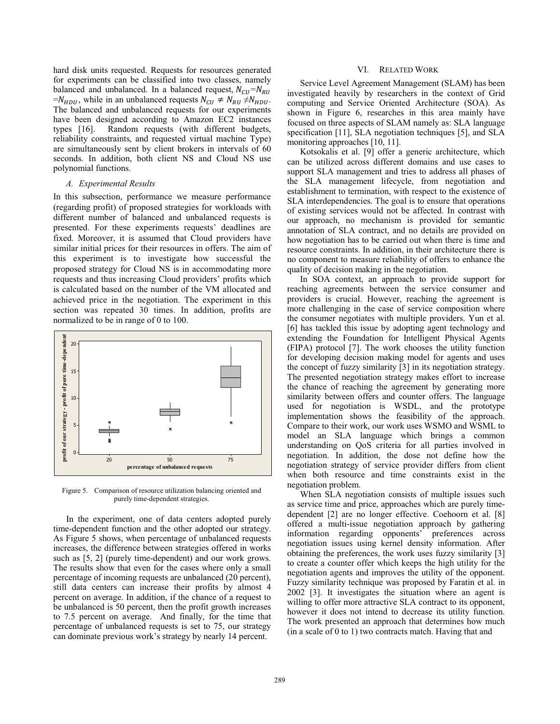hard disk units requested. Requests for resources generated for experiments can be classified into two classes, namely balanced and unbalanced. In a balanced request,  $N_{CU} = N_{RU}$  $=N_{HDU}$ , while in an unbalanced requests  $N_{CU} \neq N_{RU} \neq N_{HDU}$ . The balanced and unbalanced requests for our experiments have been designed according to Amazon EC2 instances types [16]. Random requests (with different budgets, reliability constraints, and requested virtual machine Type) are simultaneously sent by client brokers in intervals of 60 seconds. In addition, both client NS and Cloud NS use polynomial functions.

### *A. Experimental Results*

In this subsection, performance we measure performance (regarding profit) of proposed strategies for workloads with different number of balanced and unbalanced requests is presented. For these experiments requests' deadlines are fixed. Moreover, it is assumed that Cloud providers have similar initial prices for their resources in offers. The aim of this experiment is to investigate how successful the proposed strategy for Cloud NS is in accommodating more requests and thus increasing Cloud providers' profits which is calculated based on the number of the VM allocated and achieved price in the negotiation. The experiment in this section was repeated 30 times. In addition, profits are normalized to be in range of 0 to 100.



Figure 5. Comparison of resource utilization balancing oriented and purely time-dependent strategies.

In the experiment, one of data centers adopted purely time-dependent function and the other adopted our strategy. As Figure 5 shows, when percentage of unbalanced requests increases, the difference between strategies offered in works such as [5, 2] (purely time-dependent) and our work grows. The results show that even for the cases where only a small percentage of incoming requests are unbalanced (20 percent), still data centers can increase their profits by almost 4 percent on average. In addition, if the chance of a request to be unbalanced is 50 percent, then the profit growth increases to 7.5 percent on average. And finally, for the time that percentage of unbalanced requests is set to 75, our strategy can dominate previous work's strategy by nearly 14 percent.

# VI. RELATED WORK

Service Level Agreement Management (SLAM) has been investigated heavily by researchers in the context of Grid computing and Service Oriented Architecture (SOA). As shown in Figure 6, researches in this area mainly have focused on three aspects of SLAM namely as: SLA language specification [11], SLA negotiation techniques [5], and SLA monitoring approaches [10, 11].

Kotsokalis et al. [9] offer a generic architecture, which can be utilized across different domains and use cases to support SLA management and tries to address all phases of the SLA management lifecycle, from negotiation and establishment to termination, with respect to the existence of SLA interdependencies. The goal is to ensure that operations of existing services would not be affected. In contrast with our approach, no mechanism is provided for semantic annotation of SLA contract, and no details are provided on how negotiation has to be carried out when there is time and resource constraints. In addition, in their architecture there is no component to measure reliability of offers to enhance the quality of decision making in the negotiation.

In SOA context, an approach to provide support for reaching agreements between the service consumer and providers is crucial. However, reaching the agreement is more challenging in the case of service composition where the consumer negotiates with multiple providers. Yun et al. [6] has tackled this issue by adopting agent technology and extending the Foundation for Intelligent Physical Agents (FIPA) protocol [7]. The work chooses the utility function for developing decision making model for agents and uses the concept of fuzzy similarity [3] in its negotiation strategy. The presented negotiation strategy makes effort to increase the chance of reaching the agreement by generating more similarity between offers and counter offers. The language used for negotiation is WSDL, and the prototype implementation shows the feasibility of the approach. Compare to their work, our work uses WSMO and WSML to model an SLA language which brings a common understanding on QoS criteria for all parties involved in negotiation. In addition, the dose not define how the negotiation strategy of service provider differs from client when both resource and time constraints exist in the negotiation problem.

When SLA negotiation consists of multiple issues such as service time and price, approaches which are purely timedependent [2] are no longer effective. Coehoorn et al. [8] offered a multi-issue negotiation approach by gathering information regarding opponents' preferences across negotiation issues using kernel density information. After obtaining the preferences, the work uses fuzzy similarity [3] to create a counter offer which keeps the high utility for the negotiation agents and improves the utility of the opponent. Fuzzy similarity technique was proposed by Faratin et al. in 2002 [3]. It investigates the situation where an agent is willing to offer more attractive SLA contract to its opponent, however it does not intend to decrease its utility function. The work presented an approach that determines how much (in a scale of 0 to 1) two contracts match. Having that and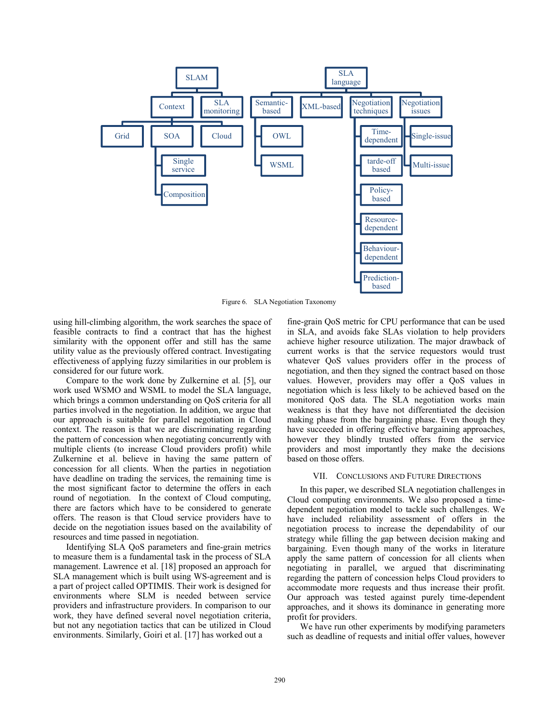

Figure 6. SLA Negotiation Taxonomy

using hill-climbing algorithm, the work searches the space of feasible contracts to find a contract that has the highest similarity with the opponent offer and still has the same utility value as the previously offered contract. Investigating effectiveness of applying fuzzy similarities in our problem is considered for our future work.

Compare to the work done by Zulkernine et al. [5], our work used WSMO and WSML to model the SLA language, which brings a common understanding on QoS criteria for all parties involved in the negotiation. In addition, we argue that our approach is suitable for parallel negotiation in Cloud context. The reason is that we are discriminating regarding the pattern of concession when negotiating concurrently with multiple clients (to increase Cloud providers profit) while Zulkernine et al. believe in having the same pattern of concession for all clients. When the parties in negotiation have deadline on trading the services, the remaining time is the most significant factor to determine the offers in each round of negotiation. In the context of Cloud computing, there are factors which have to be considered to generate offers. The reason is that Cloud service providers have to decide on the negotiation issues based on the availability of resources and time passed in negotiation.

Identifying SLA QoS parameters and fine-grain metrics to measure them is a fundamental task in the process of SLA management. Lawrence et al. [18] proposed an approach for SLA management which is built using WS-agreement and is a part of project called OPTIMIS. Their work is designed for environments where SLM is needed between service providers and infrastructure providers. In comparison to our work, they have defined several novel negotiation criteria, but not any negotiation tactics that can be utilized in Cloud environments. Similarly, Goiri et al. [17] has worked out a

fine-grain QoS metric for CPU performance that can be used in SLA, and avoids fake SLAs violation to help providers achieve higher resource utilization. The major drawback of current works is that the service requestors would trust whatever QoS values providers offer in the process of negotiation, and then they signed the contract based on those values. However, providers may offer a QoS values in negotiation which is less likely to be achieved based on the monitored QoS data. The SLA negotiation works main weakness is that they have not differentiated the decision making phase from the bargaining phase. Even though they have succeeded in offering effective bargaining approaches, however they blindly trusted offers from the service providers and most importantly they make the decisions based on those offers.

## VII. CONCLUSIONS AND FUTURE DIRECTIONS

In this paper, we described SLA negotiation challenges in Cloud computing environments. We also proposed a timedependent negotiation model to tackle such challenges. We have included reliability assessment of offers in the negotiation process to increase the dependability of our strategy while filling the gap between decision making and bargaining. Even though many of the works in literature apply the same pattern of concession for all clients when negotiating in parallel, we argued that discriminating regarding the pattern of concession helps Cloud providers to accommodate more requests and thus increase their profit. Our approach was tested against purely time-dependent approaches, and it shows its dominance in generating more profit for providers.

We have run other experiments by modifying parameters such as deadline of requests and initial offer values, however